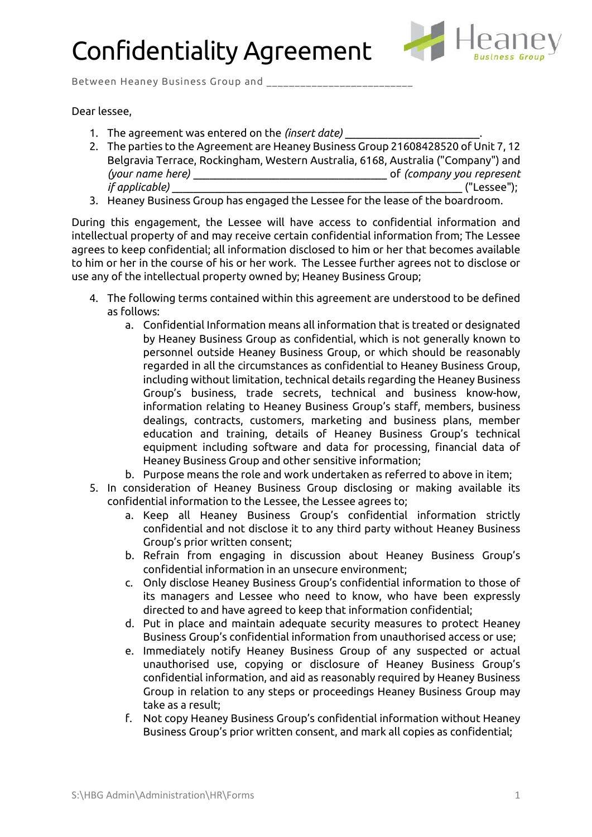## Confidentiality Agreement



Between Heaney Business Group and \_\_\_

## Dear lessee,

- 1. The agreement was entered on the *(insert date)* \_\_\_\_\_\_\_\_\_\_\_\_\_\_\_\_\_\_\_\_\_\_\_\_\_.
- 2. The parties to the Agreement are Heaney Business Group 21608428520 of Unit 7, 12 Belgravia Terrace, Rockingham, Western Australia, 6168, Australia ("Company") and *(your name here)* \_\_\_\_\_\_\_\_\_\_\_\_\_\_\_\_\_\_\_\_\_\_\_\_\_\_\_\_\_\_\_\_\_\_\_\_ of *(company you represent if applicable)* \_\_\_\_\_\_\_\_\_\_\_\_\_\_\_\_\_\_\_\_\_\_\_\_\_\_\_\_\_\_\_\_\_\_\_\_\_\_\_\_\_\_\_\_\_\_\_\_\_\_\_\_\_\_ ("Lessee");
- 3. Heaney Business Group has engaged the Lessee for the lease of the boardroom.

During this engagement, the Lessee will have access to confidential information and intellectual property of and may receive certain confidential information from; The Lessee agrees to keep confidential; all information disclosed to him or her that becomes available to him or her in the course of his or her work. The Lessee further agrees not to disclose or use any of the intellectual property owned by; Heaney Business Group;

- 4. The following terms contained within this agreement are understood to be defined as follows:
	- a. Confidential Information means all information that is treated or designated by Heaney Business Group as confidential, which is not generally known to personnel outside Heaney Business Group, or which should be reasonably regarded in all the circumstances as confidential to Heaney Business Group, including without limitation, technical details regarding the Heaney Business Group's business, trade secrets, technical and business know-how, information relating to Heaney Business Group's staff, members, business dealings, contracts, customers, marketing and business plans, member education and training, details of Heaney Business Group's technical equipment including software and data for processing, financial data of Heaney Business Group and other sensitive information;
	- b. Purpose means the role and work undertaken as referred to above in item;
- 5. In consideration of Heaney Business Group disclosing or making available its confidential information to the Lessee, the Lessee agrees to;
	- a. Keep all Heaney Business Group's confidential information strictly confidential and not disclose it to any third party without Heaney Business Group's prior written consent;
	- b. Refrain from engaging in discussion about Heaney Business Group's confidential information in an unsecure environment;
	- c. Only disclose Heaney Business Group's confidential information to those of its managers and Lessee who need to know, who have been expressly directed to and have agreed to keep that information confidential;
	- d. Put in place and maintain adequate security measures to protect Heaney Business Group's confidential information from unauthorised access or use;
	- e. Immediately notify Heaney Business Group of any suspected or actual unauthorised use, copying or disclosure of Heaney Business Group's confidential information, and aid as reasonably required by Heaney Business Group in relation to any steps or proceedings Heaney Business Group may take as a result;
	- f. Not copy Heaney Business Group's confidential information without Heaney Business Group's prior written consent, and mark all copies as confidential;